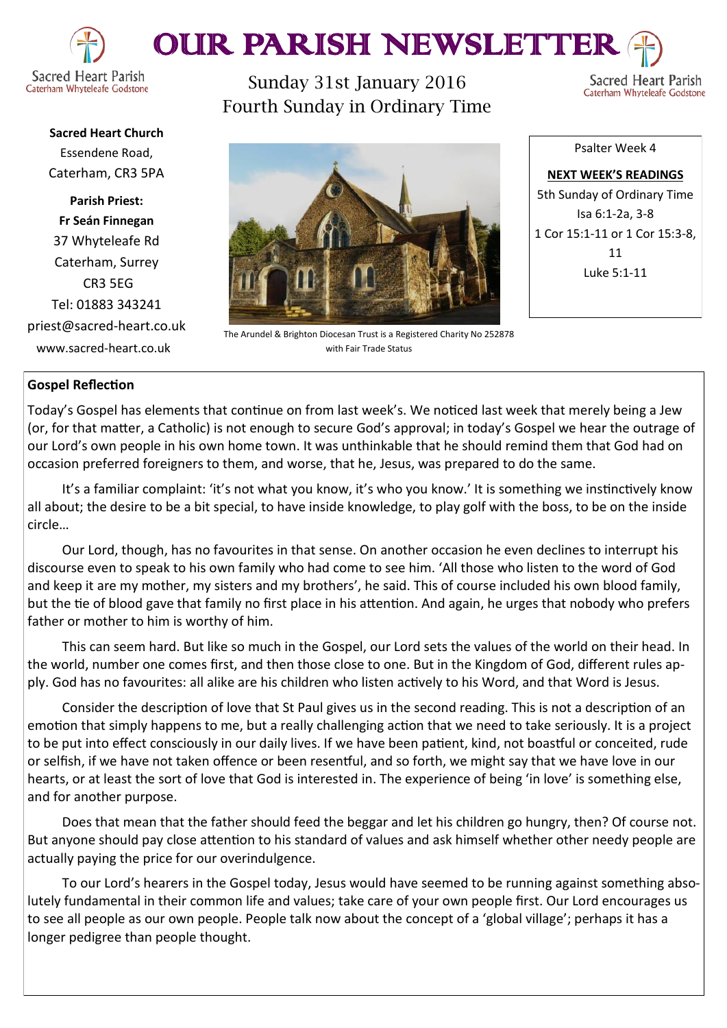

# OUR PARISH NEWSLETTE

Caterham Whyteleafe Godstone

Sunday 31st January 2016 Fourth Sunday in Ordinary Time

Sacred Heart Parish Caterham Whyteleafe Godstone

**Sacred Heart Church** Essendene Road, Caterham, CR3 5PA

**Parish Priest: Fr Seán Finnegan** 37 Whyteleafe Rd Caterham, Surrey CR3 5EG Tel: 01883 343241 priest@sacred-heart.co.uk www.sacred-heart.co.uk

The Arundel & Brighton Diocesan Trust is a Registered Charity No 252878 with Fair Trade Status

Psalter Week 4

**NEXT WEEK'S READINGS** 5th Sunday of Ordinary Time Isa 6:1-2a, 3-8 1 Cor 15:1-11 or 1 Cor 15:3-8, 11 Luke 5:1-11

# **Gospel Reflection**

Today's Gospel has elements that continue on from last week's. We noticed last week that merely being a Jew (or, for that matter, a Catholic) is not enough to secure God's approval; in today's Gospel we hear the outrage of our Lord's own people in his own home town. It was unthinkable that he should remind them that God had on occasion preferred foreigners to them, and worse, that he, Jesus, was prepared to do the same.

It's a familiar complaint: 'it's not what you know, it's who you know.' It is something we instinctively know all about; the desire to be a bit special, to have inside knowledge, to play golf with the boss, to be on the inside circle…

Our Lord, though, has no favourites in that sense. On another occasion he even declines to interrupt his discourse even to speak to his own family who had come to see him. 'All those who listen to the word of God and keep it are my mother, my sisters and my brothers', he said. This of course included his own blood family, but the tie of blood gave that family no first place in his attention. And again, he urges that nobody who prefers father or mother to him is worthy of him.

This can seem hard. But like so much in the Gospel, our Lord sets the values of the world on their head. In the world, number one comes first, and then those close to one. But in the Kingdom of God, different rules apply. God has no favourites: all alike are his children who listen actively to his Word, and that Word is Jesus.

Consider the description of love that St Paul gives us in the second reading. This is not a description of an emotion that simply happens to me, but a really challenging action that we need to take seriously. It is a project to be put into effect consciously in our daily lives. If we have been patient, kind, not boastful or conceited, rude or selfish, if we have not taken offence or been resentful, and so forth, we might say that we have love in our hearts, or at least the sort of love that God is interested in. The experience of being 'in love' is something else, and for another purpose.

Does that mean that the father should feed the beggar and let his children go hungry, then? Of course not. But anyone should pay close attention to his standard of values and ask himself whether other needy people are actually paying the price for our overindulgence.

To our Lord's hearers in the Gospel today, Jesus would have seemed to be running against something absolutely fundamental in their common life and values; take care of your own people first. Our Lord encourages us to see all people as our own people. People talk now about the concept of a 'global village'; perhaps it has a longer pedigree than people thought.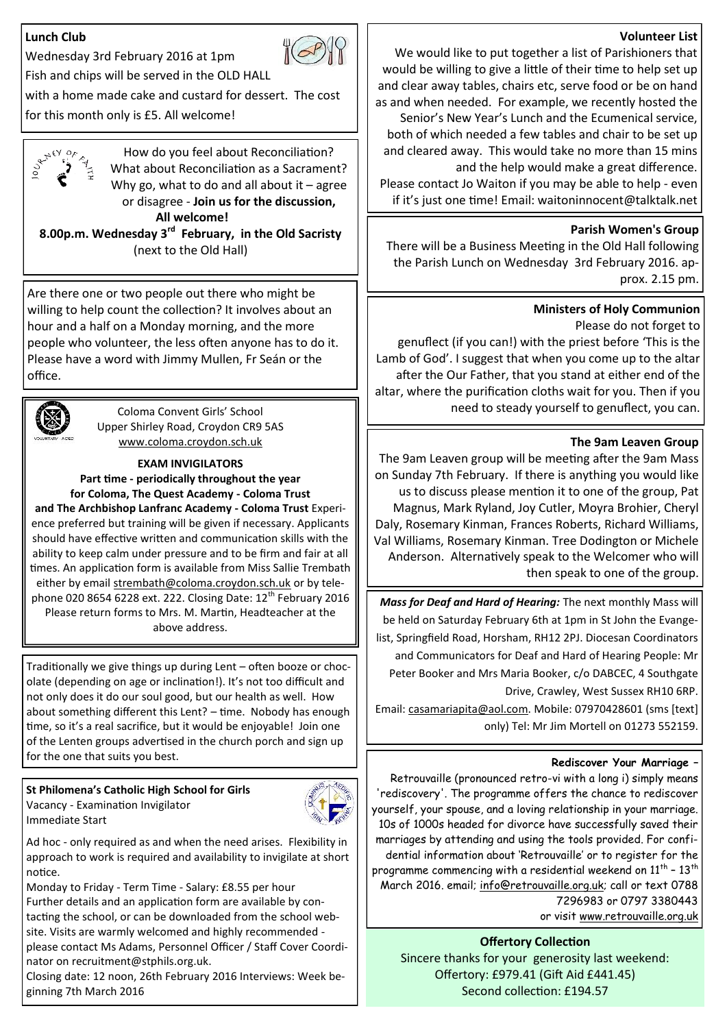# **Lunch Club**



Fish and chips will be served in the OLD HALL

with a home made cake and custard for dessert. The cost for this month only is £5. All welcome!



How do you feel about Reconciliation? What about Reconciliation as a Sacrament? Why go, what to do and all about it  $-$  agree or disagree - **Join us for the discussion,**

**All welcome! 8.00p.m. Wednesday 3rd February, in the Old Sacristy** 

(next to the Old Hall)

Are there one or two people out there who might be willing to help count the collection? It involves about an hour and a half on a Monday morning, and the more people who volunteer, the less often anyone has to do it. Please have a word with Jimmy Mullen, Fr Seán or the office.



Coloma Convent Girls' School Upper Shirley Road, Croydon CR9 5AS [www.coloma.croydon.sch.uk](http://www.coloma.croydon.sch.uk/)

# **EXAM INVIGILATORS**

**Part time - periodically throughout the year for Coloma, The Quest Academy - Coloma Trust and The Archbishop Lanfranc Academy - Coloma Trust** Experi-

ence preferred but training will be given if necessary. Applicants should have effective written and communication skills with the ability to keep calm under pressure and to be firm and fair at all times. An application form is available from Miss Sallie Trembath either by email [strembath@coloma.croydon.sch.uk](mailto:strembath@coloma.croydon.sch.uk) or by telephone 020 8654 6228 ext. 222. Closing Date: 12<sup>th</sup> February 2016 Please return forms to Mrs. M. Martin, Headteacher at the above address.

Traditionally we give things up during Lent – often booze or chocolate (depending on age or inclination!). It's not too difficult and not only does it do our soul good, but our health as well. How about something different this Lent? - time. Nobody has enough time, so it's a real sacrifice, but it would be enjoyable! Join one of the Lenten groups advertised in the church porch and sign up for the one that suits you best.

**St Philomena's Catholic High School for Girls** Vacancy - Examination Invigilator Immediate Start



Ad hoc - only required as and when the need arises. Flexibility in approach to work is required and availability to invigilate at short notice.

Monday to Friday - Term Time - Salary: £8.55 per hour Further details and an application form are available by contacting the school, or can be downloaded from the school website. Visits are warmly welcomed and highly recommended please contact Ms Adams, Personnel Officer / Staff Cover Coordinator on recruitment@stphils.org.uk.

Closing date: 12 noon, 26th February 2016 Interviews: Week beginning 7th March 2016

## **Volunteer List**

We would like to put together a list of Parishioners that would be willing to give a little of their time to help set up and clear away tables, chairs etc, serve food or be on hand as and when needed. For example, we recently hosted the Senior's New Year's Lunch and the Ecumenical service, both of which needed a few tables and chair to be set up and cleared away. This would take no more than 15 mins and the help would make a great difference. Please contact Jo Waiton if you may be able to help - even if it's just one time! Email: waitoninnocent@talktalk.net

## **Parish Women's Group**

There will be a Business Meeting in the Old Hall following the Parish Lunch on Wednesday 3rd February 2016. approx. 2.15 pm.

# **Ministers of Holy Communion**

Please do not forget to

genuflect (if you can!) with the priest before 'This is the Lamb of God'. I suggest that when you come up to the altar after the Our Father, that you stand at either end of the altar, where the purification cloths wait for you. Then if you need to steady yourself to genuflect, you can.

# **The 9am Leaven Group**

The 9am Leaven group will be meeting after the 9am Mass on Sunday 7th February. If there is anything you would like us to discuss please mention it to one of the group, Pat Magnus, Mark Ryland, Joy Cutler, Moyra Brohier, Cheryl Daly, Rosemary Kinman, Frances Roberts, Richard Williams, Val Williams, Rosemary Kinman. Tree Dodington or Michele Anderson. Alternatively speak to the Welcomer who will then speak to one of the group.

*Mass for Deaf and Hard of Hearing:* The next monthly Mass will be held on Saturday February 6th at 1pm in St John the Evangelist, Springfield Road, Horsham, RH12 2PJ. Diocesan Coordinators and Communicators for Deaf and Hard of Hearing People: Mr Peter Booker and Mrs Maria Booker, c/o DABCEC, 4 Southgate Drive, Crawley, West Sussex RH10 6RP.

Email: [casamariapita@aol.com.](mailto:casamariapita@aol.com?subject=Mass%20for%20the%20Deaf) Mobile: 07970428601 (sms [text] only) Tel: Mr Jim Mortell on 01273 552159.

## **Rediscover Your Marriage –**

Retrouvaille (pronounced retro-vi with a long i) simply means 'rediscovery'. The programme offers the chance to rediscover yourself, your spouse, and a loving relationship in your marriage. 10s of 1000s headed for divorce have successfully saved their marriages by attending and using the tools provided. For confidential information about 'Retrouvaille' or to register for the programme commencing with a residential weekend on  $11^{\text{th}}$  -  $13^{\text{th}}$ March 2016. email; [info@retrouvaille.org.uk;](mailto:info@retrouvaille.org.uk) call or text 0788 7296983 or 0797 3380443

or visit [www.retrouvaille.org.uk](http://www.retrouvaille.org.uk)

**Offertory Collection** Sincere thanks for your generosity last weekend: Offertory: £979.41 (Gift Aid £441.45) Second collection: £194.57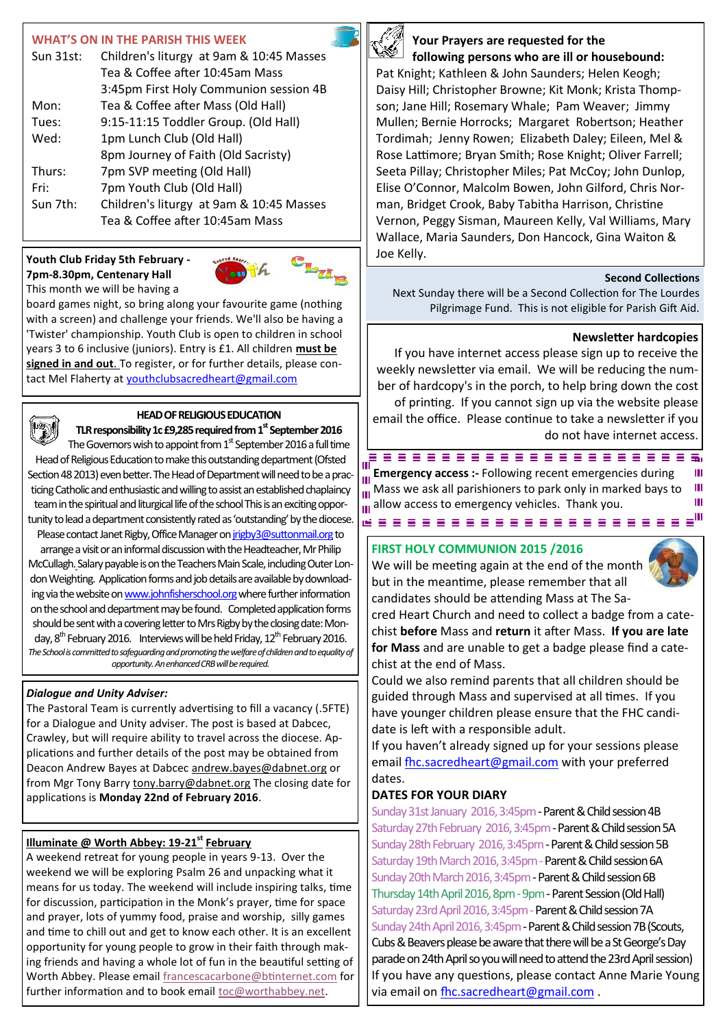# **WHAT'S ON IN THE PARISH THIS WEEK**

| Sun 31st: | Children's liturgy at 9am & 10:45 Masses |  |
|-----------|------------------------------------------|--|
|           | Tea & Coffee after 10:45am Mass          |  |
|           | 3:45pm First Holy Communion session 4B   |  |
| Mon:      | Tea & Coffee after Mass (Old Hall)       |  |
| Tues:     | 9:15-11:15 Toddler Group. (Old Hall)     |  |
| Wed:      | 1pm Lunch Club (Old Hall)                |  |
|           | 8pm Journey of Faith (Old Sacristy)      |  |
| Thurs:    | 7pm SVP meeting (Old Hall)               |  |
| Fri:      | 7pm Youth Club (Old Hall)                |  |
| Sun 7th:  | Children's liturgy at 9am & 10:45 Masses |  |
|           | Tea & Coffee after 10:45am Mass          |  |

#### **Youth Club Friday 5th February - 7pm-8.30pm, Centenary Hall** This month we will be having a



board games night, so bring along your favourite game (nothing with a screen) and challenge your friends. We'll also be having a 'Twister' championship. Youth Club is open to children in school years 3 to 6 inclusive (juniors). Entry is £1. All children **must be signed in and out**. To register, or for further details, please contact Mel Flaherty at [youthclubsacredheart@gmail.com](mailto:youthclubsacredheart@gmail.com)



## **HEAD OF RELIGIOUS EDUCATION**

**TLR responsibility 1c £9,285 required from 1st September 2016**  The Governors wish to appoint from  $1<sup>st</sup>$  September 2016 a full time

Head of Religious Education to make this outstanding department (Ofsted Section 48 2013) even better. The Head of Department will need to be a practicing Catholic and enthusiastic and willing to assist an established chaplaincy team in the spiritual and liturgical life of the school This is an exciting opportunity to lead a department consistently rated as 'outstanding' by the diocese. Please contact Janet Rigby, Office Manager on [jrigby3@suttonmail.org](mailto:jrigby3@suttonmail.org) to

arrange a visit or an informal discussion with the Headteacher, Mr Philip McCullagh. Salary payable is on the Teachers Main Scale, including Outer London Weighting. Application forms and job details are available by downloading via the website on [www.johnfisherschool.org](http://www.johnfisherschool.org) where further information on the school and department may be found. Completed application forms should be sent with a covering letter to Mrs Rigby by the closing date: Monday, 8<sup>th</sup> February 2016. Interviews will be held Friday, 12<sup>th</sup> February 2016. *The School is committed to safeguarding and promoting the welfare of children and to equality of opportunity. An enhanced CRB will be required.*

## *Dialogue and Unity Adviser:*

The Pastoral Team is currently advertising to fill a vacancy (.5FTE) for a Dialogue and Unity adviser. The post is based at Dabcec, Crawley, but will require ability to travel across the diocese. Applications and further details of the post may be obtained from Deacon Andrew Bayes at Dabcec [andrew.bayes@dabnet.org](mailto:andrew.bayes@dabnet.org?subject=Dialogue%20and%20Unity%20Adviser) or from Mgr Tony Barry [tony.barry@dabnet.org](mailto:tony.barry@dabnet.org?subject=Dialogue%20and%20Unity%20Adviser) The closing date for applications is **Monday 22nd of February 2016**.

# **Illuminate @ Worth Abbey: 19-21st February**

A weekend retreat for young people in years 9-13. Over the weekend we will be exploring Psalm 26 and unpacking what it means for us today. The weekend will include inspiring talks, time for discussion, participation in the Monk's prayer, time for space and prayer, lots of yummy food, praise and worship, silly games and time to chill out and get to know each other. It is an excellent opportunity for young people to grow in their faith through making friends and having a whole lot of fun in the beautiful setting of Worth Abbey. Please email [francescacarbone@btinternet.com](mailto:francescacarbone@btinternet.com) for further information and to book email [toc@worthabbey.net.](mailto:toc@worthabbey.net) 



## **Your Prayers are requested for the following persons who are ill or housebound:**

Pat Knight; Kathleen & John Saunders; Helen Keogh; Daisy Hill; Christopher Browne; Kit Monk; Krista Thompson; Jane Hill; Rosemary Whale; Pam Weaver; Jimmy Mullen; Bernie Horrocks; Margaret Robertson; Heather Tordimah; Jenny Rowen; Elizabeth Daley; Eileen, Mel & Rose Lattimore; Bryan Smith; Rose Knight; Oliver Farrell; Seeta Pillay; Christopher Miles; Pat McCoy; John Dunlop, Elise O'Connor, Malcolm Bowen, John Gilford, Chris Norman, Bridget Crook, Baby Tabitha Harrison, Christine Vernon, Peggy Sisman, Maureen Kelly, Val Williams, Mary Wallace, Maria Saunders, Don Hancock, Gina Waiton & Joe Kelly.

## **Second Collections**

Next Sunday there will be a Second Collection for The Lourdes Pilgrimage Fund. This is not eligible for Parish Gift Aid.

## **Newsletter hardcopies**

If you have internet access please sign up to receive the weekly newsletter via email. We will be reducing the number of hardcopy's in the porch, to help bring down the cost of printing. If you cannot sign up via the website please email the office. Please continue to take a newsletter if you do not have internet access.

пі **Emergency access :-** Following recent emergencies during Ш m  $\frac{1}{10}$  Mass we ask all parishioners to park only in marked bays to Ш allow access to emergency vehicles.Thank you.Ш waaaaaaaaaaaaaaaaaaa<sup>w</sup>

## **FIRST HOLY COMMUNION 2015 /2016**

We will be meeting again at the end of the month but in the meantime, please remember that all candidates should be attending Mass at The Sa-



cred Heart Church and need to collect a badge from a catechist **before** Mass and **return** it after Mass. **If you are late for Mass** and are unable to get a badge please find a catechist at the end of Mass.

Could we also remind parents that all children should be guided through Mass and supervised at all times. If you have younger children please ensure that the FHC candidate is left with a responsible adult.

If you haven't already signed up for your sessions please email [fhc.sacredheart@gmail.com](mailto:fhc.sacredheart@gmail.com) with your preferred dates.

# **DATES FOR YOUR DIARY**

Sunday 31st January 2016, 3:45pm - Parent & Child session 4B Saturday 27th February 2016, 3:45pm - Parent & Child session 5A Sunday 28th February 2016, 3:45pm - Parent & Child session 5B Saturday 19th March 2016, 3:45pm - Parent & Child session 6A Sunday 20th March 2016, 3:45pm - Parent & Child session 6B Thursday 14th April 2016, 8pm - 9pm - Parent Session (Old Hall) Saturday 23rd April 2016, 3:45pm - Parent & Child session 7A Sunday 24th April 2016, 3:45pm - Parent & Child session 7B (Scouts, Cubs & Beavers please be aware that there will be a St George's Day parade on 24th April so you will need to attend the 23rd April session) If you have any questions, please contact Anne Marie Young via email on [fhc.sacredheart@gmail.com](mailto:fhc.sacredheart@gmail.com) .